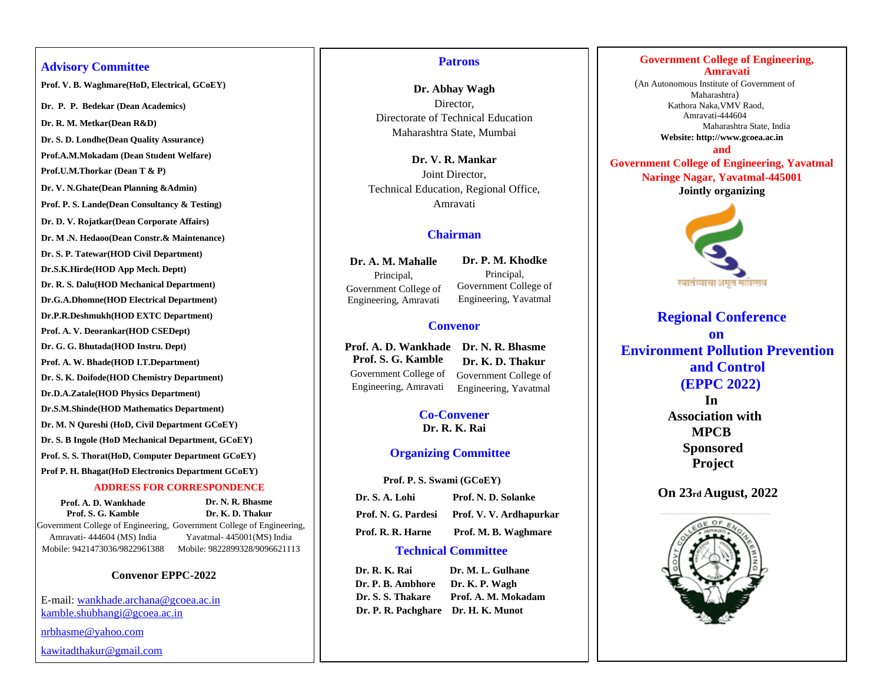## **Advisory Committee**

**Prof. V. B. Waghmare(HoD, Electrical, GCoEY)**

**Dr. P. P. Bedekar (Dean Academics)**

**Dr. R. M. Metkar(Dean R&D)** 

**Dr. S. D. Londhe(Dean Quality Assurance)** 

**Prof.A.M.Mokadam (Dean Student Welfare)** 

**Prof.U.M.Thorkar (Dean T & P)** 

**Dr. V. N.Ghate(Dean Planning &Admin)** 

**Prof. P. S. Lande(Dean Consultancy & Testing)** 

**Dr. D. V. Rojatkar(Dean Corporate Affairs)** 

**Dr. M .N. Hedaoo(Dean Constr.& Maintenance)** 

**Dr. S. P. Tatewar(HOD Civil Department)** 

**Dr.S.K.Hirde(HOD App Mech. Deptt)** 

**Dr. R. S. Dalu(HOD Mechanical Department)** 

**Dr.G.A.Dhomne(HOD Electrical Department)** 

**Dr.P.R.Deshmukh(HOD EXTC Department)** 

**Prof. A. V. Deorankar(HOD CSEDept)**

**Dr. G. G. Bhutada(HOD Instru. Dept)**

**Prof. A. W. Bhade(HOD I.T.Department)** 

**Dr. S. K. Doifode(HOD Chemistry Department)** 

**Dr.D.A.Zatale(HOD Physics Department)** 

**Dr.S.M.Shinde(HOD Mathematics Department)** 

**Dr. M. N Qureshi (HoD, Civil Department GCoEY)**

**Dr. S. B Ingole (HoD Mechanical Department, GCoEY)**

**Prof. S. S. Thorat(HoD, Computer Department GCoEY)**

**Prof P. H. Bhagat(HoD Electronics Department GCoEY)**

### **ADDRESS FOR CORRESPONDENCE**

**Prof. A. D. Wankhade Prof. S. G. Kamble**

Government College of Engineering, Government College of Engineering, Amravati- 444604 (MS) India Mobile: 9421473036/9822961388 Mobile: 9822899328/9096621113 **Dr. K. D. Thakur** Yavatmal- 445001(MS) India

**Dr. N. R. Bhasme**

# **Convenor EPPC-2022**

E-mail: wankhade.archana@gcoea.ac.in [kamble.shubhangi@gcoea.ac.in](mailto:kamble.shubhangi@gcoea.ac.in)

[nrbhasme@yahoo.com](mailto:nrbhasme@yahoo.com)

kawitadthakur@gmail.com

### **Patrons**

**Dr. Abhay Wagh**  Director, Directorate of Technical Education Maharashtra State, Mumbai

**Dr. V. R. Mankar**  Joint Director, Technical Education, Regional Office, Amravati

# **Chairman**

**Dr. A. M. Mahalle**  Principal, Government College of Engineering, Amravati

**Dr. P. M. Khodke** Principal, Government College of Engineering, Yavatmal

# **Convenor**

**Prof. A. D. Wankhade Dr. N. R. Bhasme Prof. S. G. Kamble** Government College of Engineering, Amravati **Dr. K. D. Thakur** Government College of Engineering, Yavatmal

> **Co-Convener Dr. R. K. Rai**

# **Organizing Committee**

 **Prof. P. S. Swami (GCoEY)**

| Dr. S. A. Lohi    | Prof. N. D. Solanke                         |
|-------------------|---------------------------------------------|
|                   | Prof. N. G. Pardesi Prof. V. V. Ardhapurkar |
| Prof. R. R. Harne | Prof. M. B. Waghmare                        |

# **Technical Committee**

**Dr. R. K. Rai Dr. M. L. Gulhane Dr. P. B. Ambhore Dr. K. P. Wagh Dr. S. S. Thakare Prof. A. M. Mokadam Dr. P. R. Pachghare Dr. H. K. Munot**

# **Government College of Engineering, Amravati**

(An Autonomous Institute of Government of Maharashtra) Kathora Naka,VMV Raod, Amravati-444604 Maharashtra State, India

> **Website: http://www.gcoea.ac.in and**

**Government College of Engineering, Yavatmal Naringe Nagar, Yavatmal-445001 Jointly organizing**



 **Regional Conference on Environment Pollution Prevention and Control (EPPC 2022) In Association with MPCB Sponsored** 

 **Project**

 **On 23rd August, 2022**